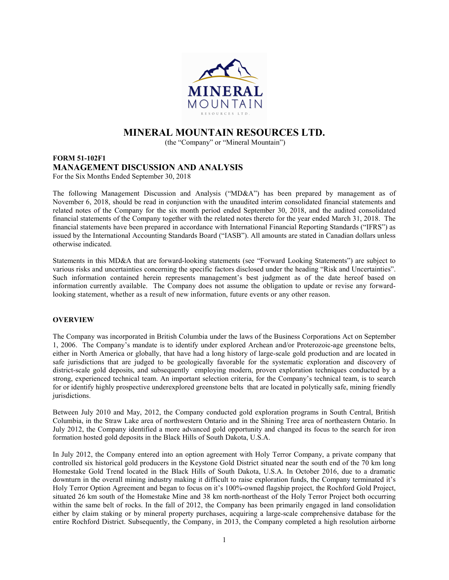

# MINERAL MOUNTAIN RESOURCES LTD.

(the "Company" or "Mineral Mountain")

# FORM 51-102F1 MANAGEMENT DISCUSSION AND ANALYSIS For the Six Months Ended September 30, 2018

The following Management Discussion and Analysis ("MD&A") has been prepared by management as of November 6, 2018, should be read in conjunction with the unaudited interim consolidated financial statements and related notes of the Company for the six month period ended September 30, 2018, and the audited consolidated financial statements of the Company together with the related notes thereto for the year ended March 31, 2018. The financial statements have been prepared in accordance with International Financial Reporting Standards ("IFRS") as issued by the International Accounting Standards Board ("IASB"). All amounts are stated in Canadian dollars unless otherwise indicated.

Statements in this MD&A that are forward-looking statements (see "Forward Looking Statements") are subject to various risks and uncertainties concerning the specific factors disclosed under the heading "Risk and Uncertainties". Such information contained herein represents management's best judgment as of the date hereof based on information currently available. The Company does not assume the obligation to update or revise any forwardlooking statement, whether as a result of new information, future events or any other reason.

# **OVERVIEW**

The Company was incorporated in British Columbia under the laws of the Business Corporations Act on September 1, 2006. The Company's mandate is to identify under explored Archean and/or Proterozoic-age greenstone belts, either in North America or globally, that have had a long history of large-scale gold production and are located in safe jurisdictions that are judged to be geologically favorable for the systematic exploration and discovery of district-scale gold deposits, and subsequently employing modern, proven exploration techniques conducted by a strong, experienced technical team. An important selection criteria, for the Company's technical team, is to search for or identify highly prospective underexplored greenstone belts that are located in polytically safe, mining friendly jurisdictions.

Between July 2010 and May, 2012, the Company conducted gold exploration programs in South Central, British Columbia, in the Straw Lake area of northwestern Ontario and in the Shining Tree area of northeastern Ontario. In July 2012, the Company identified a more advanced gold opportunity and changed its focus to the search for iron formation hosted gold deposits in the Black Hills of South Dakota, U.S.A.

In July 2012, the Company entered into an option agreement with Holy Terror Company, a private company that controlled six historical gold producers in the Keystone Gold District situated near the south end of the 70 km long Homestake Gold Trend located in the Black Hills of South Dakota, U.S.A. In October 2016, due to a dramatic downturn in the overall mining industry making it difficult to raise exploration funds, the Company terminated it's Holy Terror Option Agreement and began to focus on it's 100%-owned flagship project, the Rochford Gold Project, situated 26 km south of the Homestake Mine and 38 km north-northeast of the Holy Terror Project both occurring within the same belt of rocks. In the fall of 2012, the Company has been primarily engaged in land consolidation either by claim staking or by mineral property purchases, acquiring a large-scale comprehensive database for the entire Rochford District. Subsequently, the Company, in 2013, the Company completed a high resolution airborne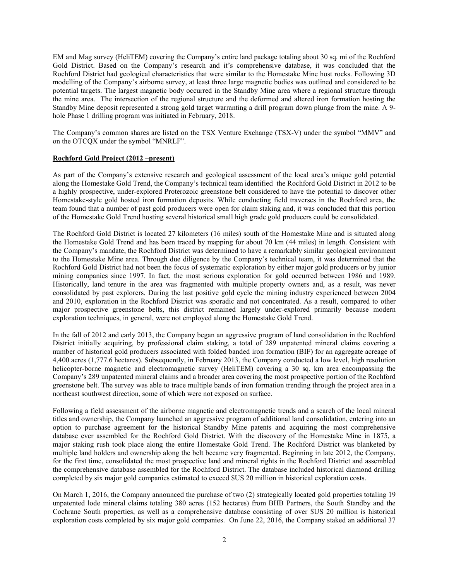EM and Mag survey (HeliTEM) covering the Company's entire land package totaling about 30 sq. mi of the Rochford Gold District. Based on the Company's research and it's comprehensive database, it was concluded that the Rochford District had geological characteristics that were similar to the Homestake Mine host rocks. Following 3D modelling of the Company's airborne survey, at least three large magnetic bodies was outlined and considered to be potential targets. The largest magnetic body occurred in the Standby Mine area where a regional structure through the mine area. The intersection of the regional structure and the deformed and altered iron formation hosting the Standby Mine deposit represented a strong gold target warranting a drill program down plunge from the mine. A 9 hole Phase 1 drilling program was initiated in February, 2018.

The Company's common shares are listed on the TSX Venture Exchange (TSX-V) under the symbol "MMV" and on the OTCQX under the symbol "MNRLF".

## Rochford Gold Project (2012 –present)

As part of the Company's extensive research and geological assessment of the local area's unique gold potential along the Homestake Gold Trend, the Company's technical team identified the Rochford Gold District in 2012 to be a highly prospective, under-explored Proterozoic greenstone belt considered to have the potential to discover other Homestake-style gold hosted iron formation deposits. While conducting field traverses in the Rochford area, the team found that a number of past gold producers were open for claim staking and, it was concluded that this portion of the Homestake Gold Trend hosting several historical small high grade gold producers could be consolidated.

The Rochford Gold District is located 27 kilometers (16 miles) south of the Homestake Mine and is situated along the Homestake Gold Trend and has been traced by mapping for about 70 km (44 miles) in length. Consistent with the Company's mandate, the Rochford District was determined to have a remarkably similar geological environment to the Homestake Mine area. Through due diligence by the Company's technical team, it was determined that the Rochford Gold District had not been the focus of systematic exploration by either major gold producers or by junior mining companies since 1997. In fact, the most serious exploration for gold occurred between 1986 and 1989. Historically, land tenure in the area was fragmented with multiple property owners and, as a result, was never consolidated by past explorers. During the last positive gold cycle the mining industry experienced between 2004 and 2010, exploration in the Rochford District was sporadic and not concentrated. As a result, compared to other major prospective greenstone belts, this district remained largely under-explored primarily because modern exploration techniques, in general, were not employed along the Homestake Gold Trend.

In the fall of 2012 and early 2013, the Company began an aggressive program of land consolidation in the Rochford District initially acquiring, by professional claim staking, a total of 289 unpatented mineral claims covering a number of historical gold producers associated with folded banded iron formation (BIF) for an aggregate acreage of 4,400 acres (1,777.6 hectares). Subsequently, in February 2013, the Company conducted a low level, high resolution helicopter-borne magnetic and electromagnetic survey (HeliTEM) covering a 30 sq. km area encompassing the Company's 289 unpatented mineral claims and a broader area covering the most prospective portion of the Rochford greenstone belt. The survey was able to trace multiple bands of iron formation trending through the project area in a northeast southwest direction, some of which were not exposed on surface.

Following a field assessment of the airborne magnetic and electromagnetic trends and a search of the local mineral titles and ownership, the Company launched an aggressive program of additional land consolidation, entering into an option to purchase agreement for the historical Standby Mine patents and acquiring the most comprehensive database ever assembled for the Rochford Gold District. With the discovery of the Homestake Mine in 1875, a major staking rush took place along the entire Homestake Gold Trend. The Rochford District was blanketed by multiple land holders and ownership along the belt became very fragmented. Beginning in late 2012, the Company, for the first time, consolidated the most prospective land and mineral rights in the Rochford District and assembled the comprehensive database assembled for the Rochford District. The database included historical diamond drilling completed by six major gold companies estimated to exceed \$US 20 million in historical exploration costs.

On March 1, 2016, the Company announced the purchase of two (2) strategically located gold properties totaling 19 unpatented lode mineral claims totaling 380 acres (152 hectares) from BHB Partners, the South Standby and the Cochrane South properties, as well as a comprehensive database consisting of over \$US 20 million is historical exploration costs completed by six major gold companies. On June 22, 2016, the Company staked an additional 37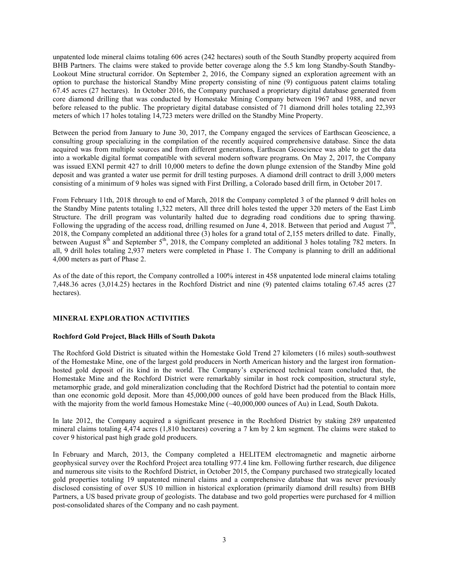unpatented lode mineral claims totaling 606 acres (242 hectares) south of the South Standby property acquired from BHB Partners. The claims were staked to provide better coverage along the 5.5 km long Standby-South Standby-Lookout Mine structural corridor. On September 2, 2016, the Company signed an exploration agreement with an option to purchase the historical Standby Mine property consisting of nine (9) contiguous patent claims totaling 67.45 acres (27 hectares). In October 2016, the Company purchased a proprietary digital database generated from core diamond drilling that was conducted by Homestake Mining Company between 1967 and 1988, and never before released to the public. The proprietary digital database consisted of 71 diamond drill holes totaling 22,393 meters of which 17 holes totaling 14,723 meters were drilled on the Standby Mine Property.

Between the period from January to June 30, 2017, the Company engaged the services of Earthscan Geoscience, a consulting group specializing in the compilation of the recently acquired comprehensive database. Since the data acquired was from multiple sources and from different generations, Earthscan Geoscience was able to get the data into a workable digital format compatible with several modern software programs. On May 2, 2017, the Company was issued EXNI permit 427 to drill 10,000 meters to define the down plunge extension of the Standby Mine gold deposit and was granted a water use permit for drill testing purposes. A diamond drill contract to drill 3,000 meters consisting of a minimum of 9 holes was signed with First Drilling, a Colorado based drill firm, in October 2017.

From February 11th, 2018 through to end of March, 2018 the Company completed 3 of the planned 9 drill holes on the Standby Mine patents totaling 1,322 meters, All three drill holes tested the upper 320 meters of the East Limb Structure. The drill program was voluntarily halted due to degrading road conditions due to spring thawing. Following the upgrading of the access road, drilling resumed on June 4, 2018. Between that period and August  $7^{\text{th}}$ , 2018, the Company completed an additional three (3) holes for a grand total of 2,155 meters drilled to date. Finally, between August  $8<sup>th</sup>$  and September  $5<sup>th</sup>$ , 2018, the Company completed an additional 3 holes totaling 782 meters. In all, 9 drill holes totaling 2,937 meters were completed in Phase 1. The Company is planning to drill an additional 4,000 meters as part of Phase 2.

As of the date of this report, the Company controlled a 100% interest in 458 unpatented lode mineral claims totaling 7,448.36 acres (3,014.25) hectares in the Rochford District and nine (9) patented claims totaling 67.45 acres (27 hectares).

# MINERAL EXPLORATION ACTIVITIES

# Rochford Gold Project, Black Hills of South Dakota

The Rochford Gold District is situated within the Homestake Gold Trend 27 kilometers (16 miles) south-southwest of the Homestake Mine, one of the largest gold producers in North American history and the largest iron formationhosted gold deposit of its kind in the world. The Company's experienced technical team concluded that, the Homestake Mine and the Rochford District were remarkably similar in host rock composition, structural style, metamorphic grade, and gold mineralization concluding that the Rochford District had the potential to contain more than one economic gold deposit. More than 45,000,000 ounces of gold have been produced from the Black Hills, with the majority from the world famous Homestake Mine (~40,000,000 ounces of Au) in Lead, South Dakota.

In late 2012, the Company acquired a significant presence in the Rochford District by staking 289 unpatented mineral claims totaling 4,474 acres (1,810 hectares) covering a 7 km by 2 km segment. The claims were staked to cover 9 historical past high grade gold producers.

In February and March, 2013, the Company completed a HELITEM electromagnetic and magnetic airborne geophysical survey over the Rochford Project area totalling 977.4 line km. Following further research, due diligence and numerous site visits to the Rochford District, in October 2015, the Company purchased two strategically located gold properties totaling 19 unpatented mineral claims and a comprehensive database that was never previously disclosed consisting of over \$US 10 million in historical exploration (primarily diamond drill results) from BHB Partners, a US based private group of geologists. The database and two gold properties were purchased for 4 million post-consolidated shares of the Company and no cash payment.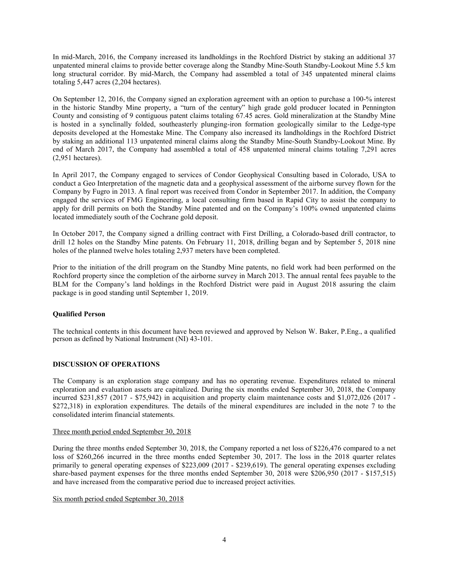In mid-March, 2016, the Company increased its landholdings in the Rochford District by staking an additional 37 unpatented mineral claims to provide better coverage along the Standby Mine-South Standby-Lookout Mine 5.5 km long structural corridor. By mid-March, the Company had assembled a total of 345 unpatented mineral claims totaling 5,447 acres (2,204 hectares).

On September 12, 2016, the Company signed an exploration agreement with an option to purchase a 100-% interest in the historic Standby Mine property, a "turn of the century" high grade gold producer located in Pennington County and consisting of 9 contiguous patent claims totaling 67.45 acres. Gold mineralization at the Standby Mine is hosted in a synclinally folded, southeasterly plunging-iron formation geologically similar to the Ledge-type deposits developed at the Homestake Mine. The Company also increased its landholdings in the Rochford District by staking an additional 113 unpatented mineral claims along the Standby Mine-South Standby-Lookout Mine. By end of March 2017, the Company had assembled a total of 458 unpatented mineral claims totaling 7,291 acres (2,951 hectares).

In April 2017, the Company engaged to services of Condor Geophysical Consulting based in Colorado, USA to conduct a Geo Interpretation of the magnetic data and a geophysical assessment of the airborne survey flown for the Company by Fugro in 2013. A final report was received from Condor in September 2017. In addition, the Company engaged the services of FMG Engineering, a local consulting firm based in Rapid City to assist the company to apply for drill permits on both the Standby Mine patented and on the Company's 100% owned unpatented claims located immediately south of the Cochrane gold deposit.

In October 2017, the Company signed a drilling contract with First Drilling, a Colorado-based drill contractor, to drill 12 holes on the Standby Mine patents. On February 11, 2018, drilling began and by September 5, 2018 nine holes of the planned twelve holes totaling 2,937 meters have been completed.

Prior to the initiation of the drill program on the Standby Mine patents, no field work had been performed on the Rochford property since the completion of the airborne survey in March 2013. The annual rental fees payable to the BLM for the Company's land holdings in the Rochford District were paid in August 2018 assuring the claim package is in good standing until September 1, 2019.

# Qualified Person

The technical contents in this document have been reviewed and approved by Nelson W. Baker, P.Eng., a qualified person as defined by National Instrument (NI) 43-101.

# DISCUSSION OF OPERATIONS

The Company is an exploration stage company and has no operating revenue. Expenditures related to mineral exploration and evaluation assets are capitalized. During the six months ended September 30, 2018, the Company incurred \$231,857 (2017 - \$75,942) in acquisition and property claim maintenance costs and \$1,072,026 (2017 - \$272,318) in exploration expenditures. The details of the mineral expenditures are included in the note 7 to the consolidated interim financial statements.

#### Three month period ended September 30, 2018

During the three months ended September 30, 2018, the Company reported a net loss of \$226,476 compared to a net loss of \$260,266 incurred in the three months ended September 30, 2017. The loss in the 2018 quarter relates primarily to general operating expenses of \$223,009 (2017 - \$239,619). The general operating expenses excluding share-based payment expenses for the three months ended September 30, 2018 were \$206,950 (2017 - \$157,515) and have increased from the comparative period due to increased project activities.

Six month period ended September 30, 2018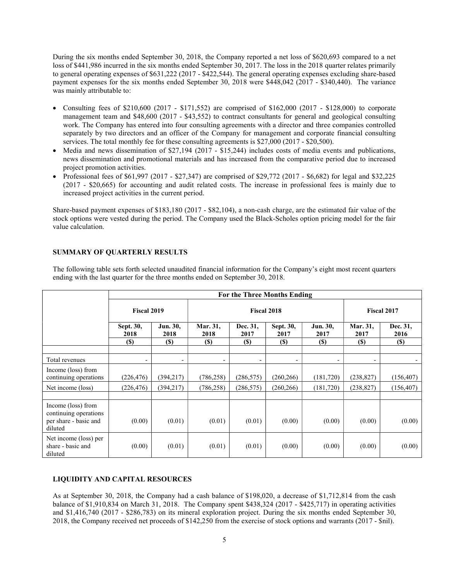During the six months ended September 30, 2018, the Company reported a net loss of \$620,693 compared to a net loss of \$441,986 incurred in the six months ended September 30, 2017. The loss in the 2018 quarter relates primarily to general operating expenses of \$631,222 (2017 - \$422,544). The general operating expenses excluding share-based payment expenses for the six months ended September 30, 2018 were \$448,042 (2017 - \$340,440). The variance was mainly attributable to:

- Consulting fees of  $$210,600 (2017 $171,552)$  are comprised of  $$162,000 (2017 $128,000)$  to corporate management team and \$48,600 (2017 - \$43,552) to contract consultants for general and geological consulting work. The Company has entered into four consulting agreements with a director and three companies controlled separately by two directors and an officer of the Company for management and corporate financial consulting services. The total monthly fee for these consulting agreements is \$27,000 (2017 - \$20,500).
- $\bullet$  Media and news dissemination of \$27,194 (2017 \$15,244) includes costs of media events and publications, news dissemination and promotional materials and has increased from the comparative period due to increased project promotion activities.
- Professional fees of \$61,997 (2017 \$27,347) are comprised of \$29,772 (2017 \$6,682) for legal and \$32,225 (2017 - \$20,665) for accounting and audit related costs. The increase in professional fees is mainly due to increased project activities in the current period.

Share-based payment expenses of \$183,180 (2017 - \$82,104), a non-cash charge, are the estimated fair value of the stock options were vested during the period. The Company used the Black-Scholes option pricing model for the fair value calculation.

# SUMMARY OF QUARTERLY RESULTS

The following table sets forth selected unaudited financial information for the Company's eight most recent quarters ending with the last quarter for the three months ended on September 30, 2018.

|                                                                                 | For the Three Months Ending |                          |                          |                  |                          |                          |                          |                  |  |  |
|---------------------------------------------------------------------------------|-----------------------------|--------------------------|--------------------------|------------------|--------------------------|--------------------------|--------------------------|------------------|--|--|
|                                                                                 | Fiscal 2019                 |                          | <b>Fiscal 2018</b>       |                  |                          |                          | Fiscal 2017              |                  |  |  |
|                                                                                 | Sept. 30,<br>2018           | Jun. 30,<br>2018         | Mar. 31,<br>2018         | Dec. 31,<br>2017 | Sept. 30,<br>2017        | Jun. 30,<br>2017         | Mar. 31,<br>2017         | Dec. 31,<br>2016 |  |  |
|                                                                                 | <b>(\$)</b>                 | <b>(\$)</b>              | <b>(S)</b>               | <b>(S)</b>       | <b>(\$)</b>              | <b>(S)</b>               | <b>(S)</b>               | <b>(S)</b>       |  |  |
| Total revenues                                                                  | $\overline{\phantom{a}}$    | $\overline{\phantom{a}}$ | $\overline{\phantom{a}}$ | -                | $\overline{\phantom{a}}$ | $\overline{\phantom{a}}$ | $\overline{\phantom{a}}$ | $\sim$           |  |  |
| Income (loss) from<br>continuing operations                                     | (226, 476)                  | (394,217)                | (786, 258)               | (286, 575)       | (260, 266)               | (181, 720)               | (238, 827)               | (156, 407)       |  |  |
| Net income (loss)                                                               | (226, 476)                  | (394, 217)               | (786, 258)               | (286, 575)       | (260, 266)               | (181,720)                | (238, 827)               | (156, 407)       |  |  |
|                                                                                 |                             |                          |                          |                  |                          |                          |                          |                  |  |  |
| Income (loss) from<br>continuing operations<br>per share - basic and<br>diluted | (0.00)                      | (0.01)                   | (0.01)                   | (0.01)           | (0.00)                   | (0.00)                   | (0.00)                   | (0.00)           |  |  |
| Net income (loss) per<br>share - basic and<br>diluted                           | (0.00)                      | (0.01)                   | (0.01)                   | (0.01)           | (0.00)                   | (0.00)                   | (0.00)                   | (0.00)           |  |  |

#### LIQUIDITY AND CAPITAL RESOURCES

As at September 30, 2018, the Company had a cash balance of \$198,020, a decrease of \$1,712,814 from the cash balance of \$1,910,834 on March 31, 2018. The Company spent \$438,324 (2017 - \$425,717) in operating activities and \$1,416,740 (2017 - \$286,783) on its mineral exploration project. During the six months ended September 30, 2018, the Company received net proceeds of \$142,250 from the exercise of stock options and warrants (2017 - \$nil).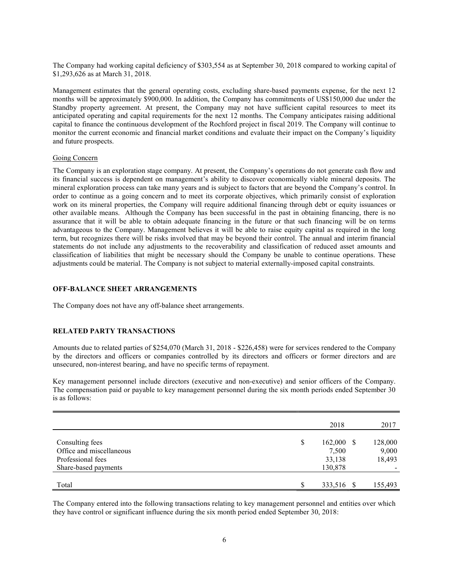The Company had working capital deficiency of \$303,554 as at September 30, 2018 compared to working capital of \$1,293,626 as at March 31, 2018.

Management estimates that the general operating costs, excluding share-based payments expense, for the next 12 months will be approximately \$900,000. In addition, the Company has commitments of US\$150,000 due under the Standby property agreement. At present, the Company may not have sufficient capital resources to meet its anticipated operating and capital requirements for the next 12 months. The Company anticipates raising additional capital to finance the continuous development of the Rochford project in fiscal 2019. The Company will continue to monitor the current economic and financial market conditions and evaluate their impact on the Company's liquidity and future prospects.

#### Going Concern

The Company is an exploration stage company. At present, the Company's operations do not generate cash flow and its financial success is dependent on management's ability to discover economically viable mineral deposits. The mineral exploration process can take many years and is subject to factors that are beyond the Company's control. In order to continue as a going concern and to meet its corporate objectives, which primarily consist of exploration work on its mineral properties, the Company will require additional financing through debt or equity issuances or other available means. Although the Company has been successful in the past in obtaining financing, there is no assurance that it will be able to obtain adequate financing in the future or that such financing will be on terms advantageous to the Company. Management believes it will be able to raise equity capital as required in the long term, but recognizes there will be risks involved that may be beyond their control. The annual and interim financial statements do not include any adjustments to the recoverability and classification of reduced asset amounts and classification of liabilities that might be necessary should the Company be unable to continue operations. These adjustments could be material. The Company is not subject to material externally-imposed capital constraints.

#### OFF-BALANCE SHEET ARRANGEMENTS

The Company does not have any off-balance sheet arrangements.

#### RELATED PARTY TRANSACTIONS

Amounts due to related parties of \$254,070 (March 31, 2018 - \$226,458) were for services rendered to the Company by the directors and officers or companies controlled by its directors and officers or former directors and are unsecured, non-interest bearing, and have no specific terms of repayment.

Key management personnel include directors (executive and non-executive) and senior officers of the Company. The compensation paid or payable to key management personnel during the six month periods ended September 30 is as follows:

|                          |   | 2018         | 2017    |
|--------------------------|---|--------------|---------|
|                          |   |              |         |
| Consulting fees          | S | $162,000$ \$ | 128,000 |
| Office and miscellaneous |   | 7,500        | 9,000   |
| Professional fees        |   | 33,138       | 18,493  |
| Share-based payments     |   | 130,878      |         |
|                          |   |              |         |
| Total                    | S | 333,516 \$   | 155,493 |

The Company entered into the following transactions relating to key management personnel and entities over which they have control or significant influence during the six month period ended September 30, 2018: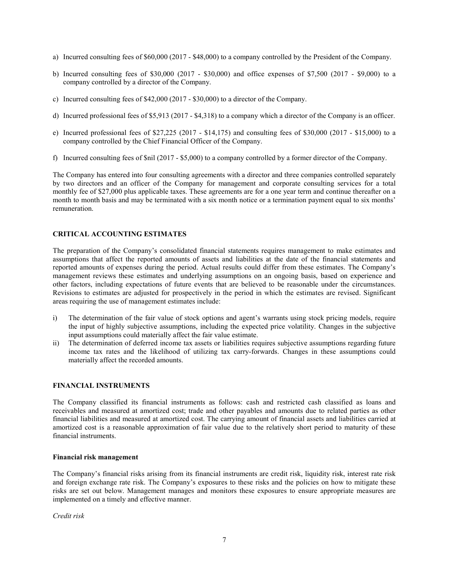- a) Incurred consulting fees of \$60,000 (2017 \$48,000) to a company controlled by the President of the Company.
- b) Incurred consulting fees of \$30,000 (2017 \$30,000) and office expenses of \$7,500 (2017 \$9,000) to a company controlled by a director of the Company.
- c) Incurred consulting fees of \$42,000 (2017 \$30,000) to a director of the Company.
- d) Incurred professional fees of \$5,913 (2017 \$4,318) to a company which a director of the Company is an officer.
- e) Incurred professional fees of \$27,225 (2017 \$14,175) and consulting fees of \$30,000 (2017 \$15,000) to a company controlled by the Chief Financial Officer of the Company.
- f) Incurred consulting fees of \$nil (2017 \$5,000) to a company controlled by a former director of the Company.

The Company has entered into four consulting agreements with a director and three companies controlled separately by two directors and an officer of the Company for management and corporate consulting services for a total monthly fee of \$27,000 plus applicable taxes. These agreements are for a one year term and continue thereafter on a month to month basis and may be terminated with a six month notice or a termination payment equal to six months' remuneration.

# CRITICAL ACCOUNTING ESTIMATES

The preparation of the Company's consolidated financial statements requires management to make estimates and assumptions that affect the reported amounts of assets and liabilities at the date of the financial statements and reported amounts of expenses during the period. Actual results could differ from these estimates. The Company's management reviews these estimates and underlying assumptions on an ongoing basis, based on experience and other factors, including expectations of future events that are believed to be reasonable under the circumstances. Revisions to estimates are adjusted for prospectively in the period in which the estimates are revised. Significant areas requiring the use of management estimates include:

- i) The determination of the fair value of stock options and agent's warrants using stock pricing models, require the input of highly subjective assumptions, including the expected price volatility. Changes in the subjective input assumptions could materially affect the fair value estimate.
- ii) The determination of deferred income tax assets or liabilities requires subjective assumptions regarding future income tax rates and the likelihood of utilizing tax carry-forwards. Changes in these assumptions could materially affect the recorded amounts.

# FINANCIAL INSTRUMENTS

The Company classified its financial instruments as follows: cash and restricted cash classified as loans and receivables and measured at amortized cost; trade and other payables and amounts due to related parties as other financial liabilities and measured at amortized cost. The carrying amount of financial assets and liabilities carried at amortized cost is a reasonable approximation of fair value due to the relatively short period to maturity of these financial instruments.

#### Financial risk management

The Company's financial risks arising from its financial instruments are credit risk, liquidity risk, interest rate risk and foreign exchange rate risk. The Company's exposures to these risks and the policies on how to mitigate these risks are set out below. Management manages and monitors these exposures to ensure appropriate measures are implemented on a timely and effective manner.

Credit risk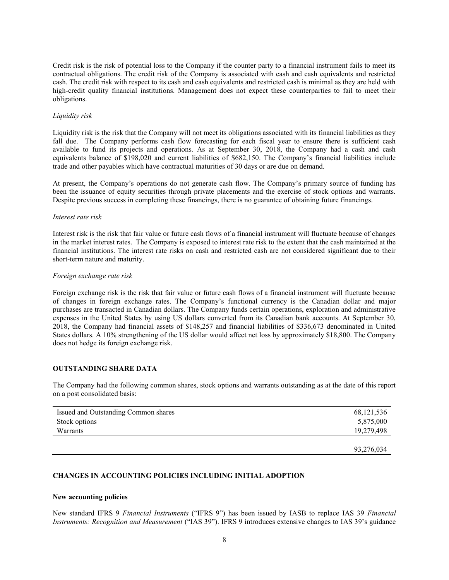Credit risk is the risk of potential loss to the Company if the counter party to a financial instrument fails to meet its contractual obligations. The credit risk of the Company is associated with cash and cash equivalents and restricted cash. The credit risk with respect to its cash and cash equivalents and restricted cash is minimal as they are held with high-credit quality financial institutions. Management does not expect these counterparties to fail to meet their obligations.

## Liquidity risk

Liquidity risk is the risk that the Company will not meet its obligations associated with its financial liabilities as they fall due. The Company performs cash flow forecasting for each fiscal year to ensure there is sufficient cash available to fund its projects and operations. As at September 30, 2018, the Company had a cash and cash equivalents balance of \$198,020 and current liabilities of \$682,150. The Company's financial liabilities include trade and other payables which have contractual maturities of 30 days or are due on demand.

At present, the Company's operations do not generate cash flow. The Company's primary source of funding has been the issuance of equity securities through private placements and the exercise of stock options and warrants. Despite previous success in completing these financings, there is no guarantee of obtaining future financings.

## Interest rate risk

Interest risk is the risk that fair value or future cash flows of a financial instrument will fluctuate because of changes in the market interest rates. The Company is exposed to interest rate risk to the extent that the cash maintained at the financial institutions. The interest rate risks on cash and restricted cash are not considered significant due to their short-term nature and maturity.

#### Foreign exchange rate risk

Foreign exchange risk is the risk that fair value or future cash flows of a financial instrument will fluctuate because of changes in foreign exchange rates. The Company's functional currency is the Canadian dollar and major purchases are transacted in Canadian dollars. The Company funds certain operations, exploration and administrative expenses in the United States by using US dollars converted from its Canadian bank accounts. At September 30, 2018, the Company had financial assets of \$148,257 and financial liabilities of \$336,673 denominated in United States dollars. A 10% strengthening of the US dollar would affect net loss by approximately \$18,800. The Company does not hedge its foreign exchange risk.

#### OUTSTANDING SHARE DATA

The Company had the following common shares, stock options and warrants outstanding as at the date of this report on a post consolidated basis:

| Issued and Outstanding Common shares | 68, 121, 536 |
|--------------------------------------|--------------|
| Stock options                        | 5,875,000    |
| Warrants                             | 19,279,498   |
|                                      |              |
|                                      | 93,276,034   |

## CHANGES IN ACCOUNTING POLICIES INCLUDING INITIAL ADOPTION

#### New accounting policies

New standard IFRS 9 Financial Instruments ("IFRS 9") has been issued by IASB to replace IAS 39 Financial Instruments: Recognition and Measurement ("IAS 39"). IFRS 9 introduces extensive changes to IAS 39's guidance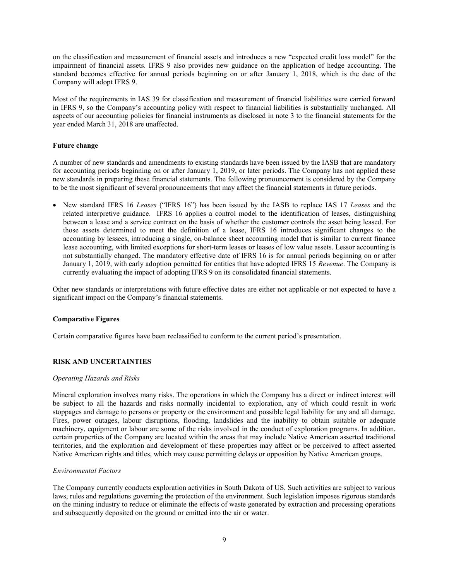on the classification and measurement of financial assets and introduces a new "expected credit loss model" for the impairment of financial assets. IFRS 9 also provides new guidance on the application of hedge accounting. The standard becomes effective for annual periods beginning on or after January 1, 2018, which is the date of the Company will adopt IFRS 9.

Most of the requirements in IAS 39 for classification and measurement of financial liabilities were carried forward in IFRS 9, so the Company's accounting policy with respect to financial liabilities is substantially unchanged. All aspects of our accounting policies for financial instruments as disclosed in note 3 to the financial statements for the year ended March 31, 2018 are unaffected.

## Future change

A number of new standards and amendments to existing standards have been issued by the IASB that are mandatory for accounting periods beginning on or after January 1, 2019, or later periods. The Company has not applied these new standards in preparing these financial statements. The following pronouncement is considered by the Company to be the most significant of several pronouncements that may affect the financial statements in future periods.

 New standard IFRS 16 Leases ("IFRS 16") has been issued by the IASB to replace IAS 17 Leases and the related interpretive guidance. IFRS 16 applies a control model to the identification of leases, distinguishing between a lease and a service contract on the basis of whether the customer controls the asset being leased. For those assets determined to meet the definition of a lease, IFRS 16 introduces significant changes to the accounting by lessees, introducing a single, on-balance sheet accounting model that is similar to current finance lease accounting, with limited exceptions for short-term leases or leases of low value assets. Lessor accounting is not substantially changed. The mandatory effective date of IFRS 16 is for annual periods beginning on or after January 1, 2019, with early adoption permitted for entities that have adopted IFRS 15 Revenue. The Company is currently evaluating the impact of adopting IFRS 9 on its consolidated financial statements.

Other new standards or interpretations with future effective dates are either not applicable or not expected to have a significant impact on the Company's financial statements.

#### Comparative Figures

Certain comparative figures have been reclassified to conform to the current period's presentation.

# RISK AND UNCERTAINTIES

#### Operating Hazards and Risks

Mineral exploration involves many risks. The operations in which the Company has a direct or indirect interest will be subject to all the hazards and risks normally incidental to exploration, any of which could result in work stoppages and damage to persons or property or the environment and possible legal liability for any and all damage. Fires, power outages, labour disruptions, flooding, landslides and the inability to obtain suitable or adequate machinery, equipment or labour are some of the risks involved in the conduct of exploration programs. In addition, certain properties of the Company are located within the areas that may include Native American asserted traditional territories, and the exploration and development of these properties may affect or be perceived to affect asserted Native American rights and titles, which may cause permitting delays or opposition by Native American groups.

#### Environmental Factors

The Company currently conducts exploration activities in South Dakota of US. Such activities are subject to various laws, rules and regulations governing the protection of the environment. Such legislation imposes rigorous standards on the mining industry to reduce or eliminate the effects of waste generated by extraction and processing operations and subsequently deposited on the ground or emitted into the air or water.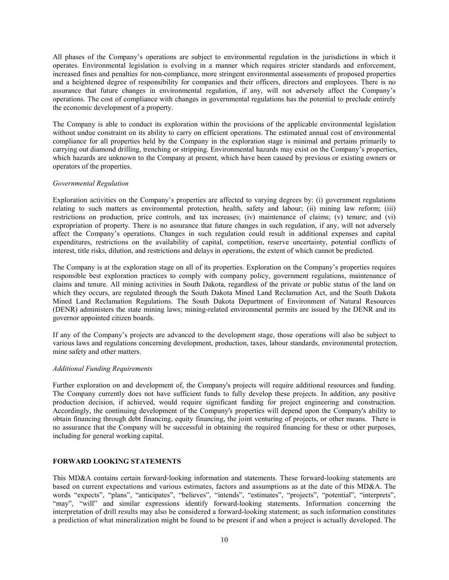All phases of the Company's operations are subject to environmental regulation in the jurisdictions in which it operates. Environmental legislation is evolving in a manner which requires stricter standards and enforcement, increased fines and penalties for non-compliance, more stringent environmental assessments of proposed properties and a heightened degree of responsibility for companies and their officers, directors and employees. There is no assurance that future changes in environmental regulation, if any, will not adversely affect the Company's operations. The cost of compliance with changes in governmental regulations has the potential to preclude entirely the economic development of a property.

The Company is able to conduct its exploration within the provisions of the applicable environmental legislation without undue constraint on its ability to carry on efficient operations. The estimated annual cost of environmental compliance for all properties held by the Company in the exploration stage is minimal and pertains primarily to carrying out diamond drilling, trenching or stripping. Environmental hazards may exist on the Company's properties, which hazards are unknown to the Company at present, which have been caused by previous or existing owners or operators of the properties.

#### Governmental Regulation

Exploration activities on the Company's properties are affected to varying degrees by: (i) government regulations relating to such matters as environmental protection, health, safety and labour; (ii) mining law reform; (iii) restrictions on production, price controls, and tax increases; (iv) maintenance of claims; (v) tenure; and (vi) expropriation of property. There is no assurance that future changes in such regulation, if any, will not adversely affect the Company's operations. Changes in such regulation could result in additional expenses and capital expenditures, restrictions on the availability of capital, competition, reserve uncertainty, potential conflicts of interest, title risks, dilution, and restrictions and delays in operations, the extent of which cannot be predicted.

The Company is at the exploration stage on all of its properties. Exploration on the Company's properties requires responsible best exploration practices to comply with company policy, government regulations, maintenance of claims and tenure. All mining activities in South Dakota, regardless of the private or public status of the land on which they occurs, are regulated through the South Dakota Mined Land Reclamation Act, and the South Dakota Mined Land Reclamation Regulations. The South Dakota Department of Environment of Natural Resources (DENR) administers the state mining laws; mining-related environmental permits are issued by the DENR and its governor appointed citizen boards.

If any of the Company's projects are advanced to the development stage, those operations will also be subject to various laws and regulations concerning development, production, taxes, labour standards, environmental protection, mine safety and other matters.

#### Additional Funding Requirements

Further exploration on and development of, the Company's projects will require additional resources and funding. The Company currently does not have sufficient funds to fully develop these projects. In addition, any positive production decision, if achieved, would require significant funding for project engineering and construction. Accordingly, the continuing development of the Company's properties will depend upon the Company's ability to obtain financing through debt financing, equity financing, the joint venturing of projects, or other means. There is no assurance that the Company will be successful in obtaining the required financing for these or other purposes, including for general working capital.

# FORWARD LOOKING STATEMENTS

This MD&A contains certain forward‐looking information and statements. These forward-looking statements are based on current expectations and various estimates, factors and assumptions as at the date of this MD&A. The words "expects", "plans", "anticipates", "believes", "intends", "estimates", "projects", "potential", "interprets", "may", "will" and similar expressions identify forward-looking statements. Information concerning the interpretation of drill results may also be considered a forward-looking statement; as such information constitutes a prediction of what mineralization might be found to be present if and when a project is actually developed. The